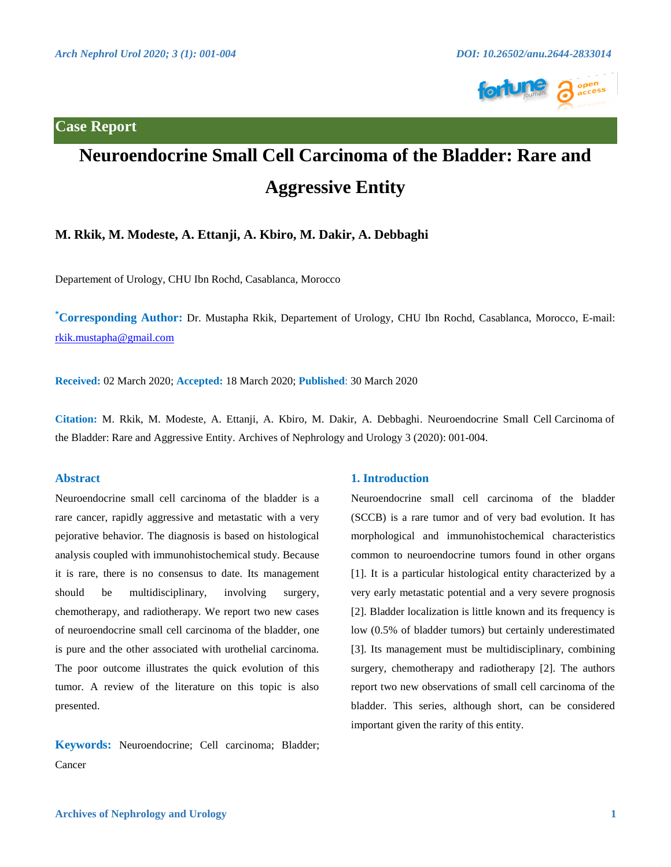**Case Report**



# **Neuroendocrine Small Cell Carcinoma of the Bladder: Rare and Aggressive Entity**

## **M. Rkik, M. Modeste, A. Ettanji, A. Kbiro, M. Dakir, A. Debbaghi**

Departement of Urology, CHU Ibn Rochd, Casablanca, Morocco

**\* Corresponding Author:** Dr. Mustapha Rkik, Departement of Urology, CHU Ibn Rochd, Casablanca, Morocco, E-mail: [rkik.mustapha@gmail.com](mailto:rkik.mustapha@gmail.com) 

**Received:** 02 March 2020; **Accepted:** 18 March 2020; **Published**: 30 March 2020

**Citation:** M. Rkik, M. Modeste, A. Ettanji, A. Kbiro, M. Dakir, A. Debbaghi. Neuroendocrine Small Cell Carcinoma of the Bladder: Rare and Aggressive Entity. Archives of Nephrology and Urology 3 (2020): 001-004.

#### **Abstract**

Neuroendocrine small cell carcinoma of the bladder is a rare cancer, rapidly aggressive and metastatic with a very pejorative behavior. The diagnosis is based on histological analysis coupled with immunohistochemical study. Because it is rare, there is no consensus to date. Its management should be multidisciplinary, involving surgery, chemotherapy, and radiotherapy. We report two new cases of neuroendocrine small cell carcinoma of the bladder, one is pure and the other associated with urothelial carcinoma. The poor outcome illustrates the quick evolution of this tumor. A review of the literature on this topic is also presented.

**Keywords:** Neuroendocrine; Cell carcinoma; Bladder; Cancer

#### **1. Introduction**

Neuroendocrine small cell carcinoma of the bladder (SCCB) is a rare tumor and of very bad evolution. It has morphological and immunohistochemical characteristics common to neuroendocrine tumors found in other organs [1]. It is a particular histological entity characterized by a very early metastatic potential and a very severe prognosis [2]. Bladder localization is little known and its frequency is low (0.5% of bladder tumors) but certainly underestimated [3]. Its management must be multidisciplinary, combining surgery, chemotherapy and radiotherapy [2]. The authors report two new observations of small cell carcinoma of the bladder. This series, although short, can be considered important given the rarity of this entity.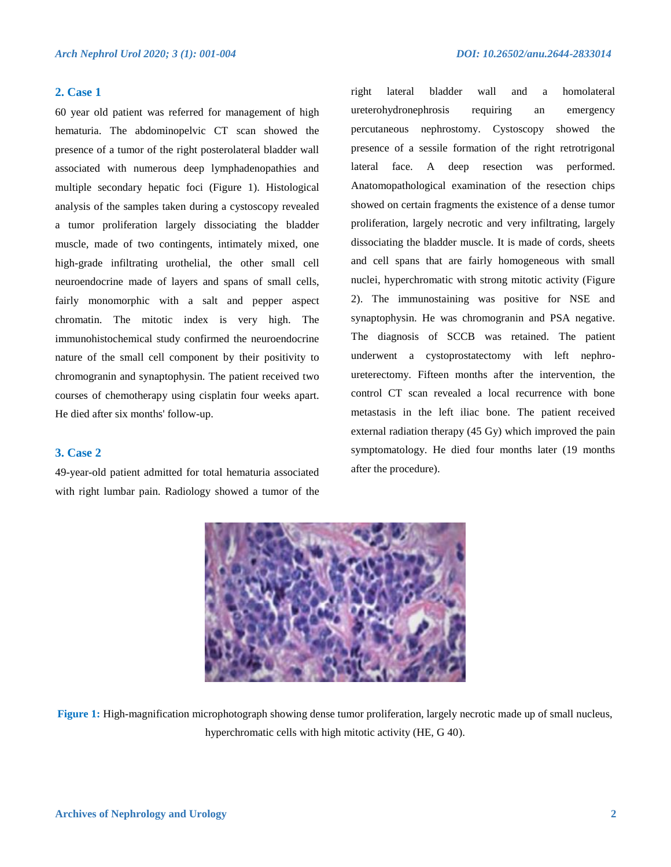#### **2. Case 1**

60 year old patient was referred for management of high hematuria. The abdominopelvic CT scan showed the presence of a tumor of the right posterolateral bladder wall associated with numerous deep lymphadenopathies and multiple secondary hepatic foci (Figure 1). Histological analysis of the samples taken during a cystoscopy revealed a tumor proliferation largely dissociating the bladder muscle, made of two contingents, intimately mixed, one high-grade infiltrating urothelial, the other small cell neuroendocrine made of layers and spans of small cells, fairly monomorphic with a salt and pepper aspect chromatin. The mitotic index is very high. The immunohistochemical study confirmed the neuroendocrine nature of the small cell component by their positivity to chromogranin and synaptophysin. The patient received two courses of chemotherapy using cisplatin four weeks apart. He died after six months' follow-up.

#### **3. Case 2**

49-year-old patient admitted for total hematuria associated with right lumbar pain. Radiology showed a tumor of the

right lateral bladder wall and a homolateral ureterohydronephrosis requiring an emergency percutaneous nephrostomy. Cystoscopy showed the presence of a sessile formation of the right retrotrigonal lateral face. A deep resection was performed. Anatomopathological examination of the resection chips showed on certain fragments the existence of a dense tumor proliferation, largely necrotic and very infiltrating, largely dissociating the bladder muscle. It is made of cords, sheets and cell spans that are fairly homogeneous with small nuclei, hyperchromatic with strong mitotic activity (Figure 2). The immunostaining was positive for NSE and synaptophysin. He was chromogranin and PSA negative. The diagnosis of SCCB was retained. The patient underwent a cystoprostatectomy with left nephroureterectomy. Fifteen months after the intervention, the control CT scan revealed a local recurrence with bone metastasis in the left iliac bone. The patient received external radiation therapy (45 Gy) which improved the pain symptomatology. He died four months later (19 months after the procedure).



**Figure 1:** High-magnification microphotograph showing dense tumor proliferation, largely necrotic made up of small nucleus, hyperchromatic cells with high mitotic activity (HE, G 40).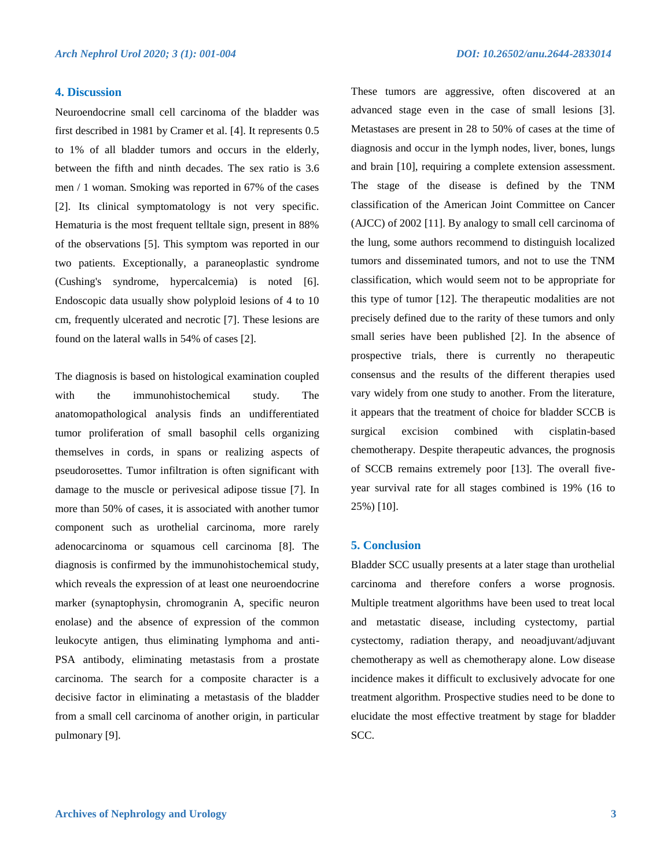#### **4. Discussion**

Neuroendocrine small cell carcinoma of the bladder was first described in 1981 by Cramer et al. [4]. It represents 0.5 to 1% of all bladder tumors and occurs in the elderly, between the fifth and ninth decades. The sex ratio is 3.6 men / 1 woman. Smoking was reported in 67% of the cases [2]. Its clinical symptomatology is not very specific. Hematuria is the most frequent telltale sign, present in 88% of the observations [5]. This symptom was reported in our two patients. Exceptionally, a paraneoplastic syndrome (Cushing's syndrome, hypercalcemia) is noted [6]. Endoscopic data usually show polyploid lesions of 4 to 10 cm, frequently ulcerated and necrotic [7]. These lesions are found on the lateral walls in 54% of cases [2].

The diagnosis is based on histological examination coupled with the immunohistochemical study. The anatomopathological analysis finds an undifferentiated tumor proliferation of small basophil cells organizing themselves in cords, in spans or realizing aspects of pseudorosettes. Tumor infiltration is often significant with damage to the muscle or perivesical adipose tissue [7]. In more than 50% of cases, it is associated with another tumor component such as urothelial carcinoma, more rarely adenocarcinoma or squamous cell carcinoma [8]. The diagnosis is confirmed by the immunohistochemical study, which reveals the expression of at least one neuroendocrine marker (synaptophysin, chromogranin A, specific neuron enolase) and the absence of expression of the common leukocyte antigen, thus eliminating lymphoma and anti-PSA antibody, eliminating metastasis from a prostate carcinoma. The search for a composite character is a decisive factor in eliminating a metastasis of the bladder from a small cell carcinoma of another origin, in particular pulmonary [9].

These tumors are aggressive, often discovered at an advanced stage even in the case of small lesions [3]. Metastases are present in 28 to 50% of cases at the time of diagnosis and occur in the lymph nodes, liver, bones, lungs and brain [10], requiring a complete extension assessment. The stage of the disease is defined by the TNM classification of the American Joint Committee on Cancer (AJCC) of 2002 [11]. By analogy to small cell carcinoma of the lung, some authors recommend to distinguish localized tumors and disseminated tumors, and not to use the TNM classification, which would seem not to be appropriate for this type of tumor [12]. The therapeutic modalities are not precisely defined due to the rarity of these tumors and only small series have been published [2]. In the absence of prospective trials, there is currently no therapeutic consensus and the results of the different therapies used vary widely from one study to another. From the literature, it appears that the treatment of choice for bladder SCCB is surgical excision combined with cisplatin-based chemotherapy. Despite therapeutic advances, the prognosis of SCCB remains extremely poor [13]. The overall fiveyear survival rate for all stages combined is 19% (16 to 25%) [10].

### **5. Conclusion**

Bladder SCC usually presents at a later stage than urothelial carcinoma and therefore confers a worse prognosis. Multiple treatment algorithms have been used to treat local and metastatic disease, including cystectomy, partial cystectomy, radiation therapy, and neoadjuvant/adjuvant chemotherapy as well as chemotherapy alone. Low disease incidence makes it difficult to exclusively advocate for one treatment algorithm. Prospective studies need to be done to elucidate the most effective treatment by stage for bladder SCC.